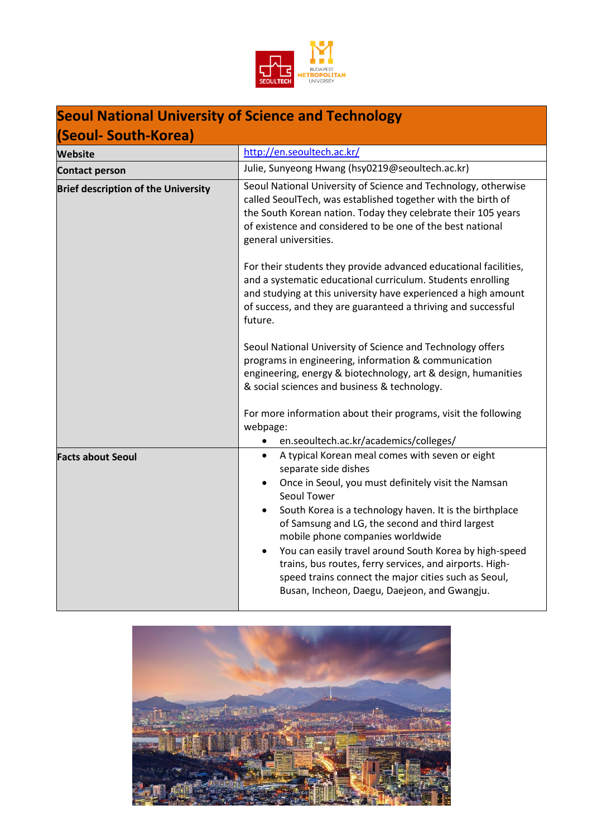

# **Seoul National University of Science and Technology**

| (Seoul- South-Korea)                       |                                                                                                                                                                                                                                                                                                                                                                                                                                                                                                                                                                     |  |  |  |
|--------------------------------------------|---------------------------------------------------------------------------------------------------------------------------------------------------------------------------------------------------------------------------------------------------------------------------------------------------------------------------------------------------------------------------------------------------------------------------------------------------------------------------------------------------------------------------------------------------------------------|--|--|--|
| <b>Website</b>                             | http://en.seoultech.ac.kr/                                                                                                                                                                                                                                                                                                                                                                                                                                                                                                                                          |  |  |  |
| <b>Contact person</b>                      | Julie, Sunyeong Hwang (hsy0219@seoultech.ac.kr)                                                                                                                                                                                                                                                                                                                                                                                                                                                                                                                     |  |  |  |
| <b>Brief description of the University</b> | Seoul National University of Science and Technology, otherwise<br>called SeoulTech, was established together with the birth of<br>the South Korean nation. Today they celebrate their 105 years<br>of existence and considered to be one of the best national<br>general universities.                                                                                                                                                                                                                                                                              |  |  |  |
|                                            | For their students they provide advanced educational facilities,<br>and a systematic educational curriculum. Students enrolling<br>and studying at this university have experienced a high amount<br>of success, and they are guaranteed a thriving and successful<br>future.                                                                                                                                                                                                                                                                                       |  |  |  |
|                                            | Seoul National University of Science and Technology offers<br>programs in engineering, information & communication<br>engineering, energy & biotechnology, art & design, humanities<br>& social sciences and business & technology.                                                                                                                                                                                                                                                                                                                                 |  |  |  |
|                                            | For more information about their programs, visit the following<br>webpage:<br>en.seoultech.ac.kr/academics/colleges/                                                                                                                                                                                                                                                                                                                                                                                                                                                |  |  |  |
| <b>Facts about Seoul</b>                   | A typical Korean meal comes with seven or eight<br>$\bullet$<br>separate side dishes<br>Once in Seoul, you must definitely visit the Namsan<br>$\bullet$<br>Seoul Tower<br>South Korea is a technology haven. It is the birthplace<br>$\bullet$<br>of Samsung and LG, the second and third largest<br>mobile phone companies worldwide<br>You can easily travel around South Korea by high-speed<br>trains, bus routes, ferry services, and airports. High-<br>speed trains connect the major cities such as Seoul,<br>Busan, Incheon, Daegu, Daejeon, and Gwangju. |  |  |  |

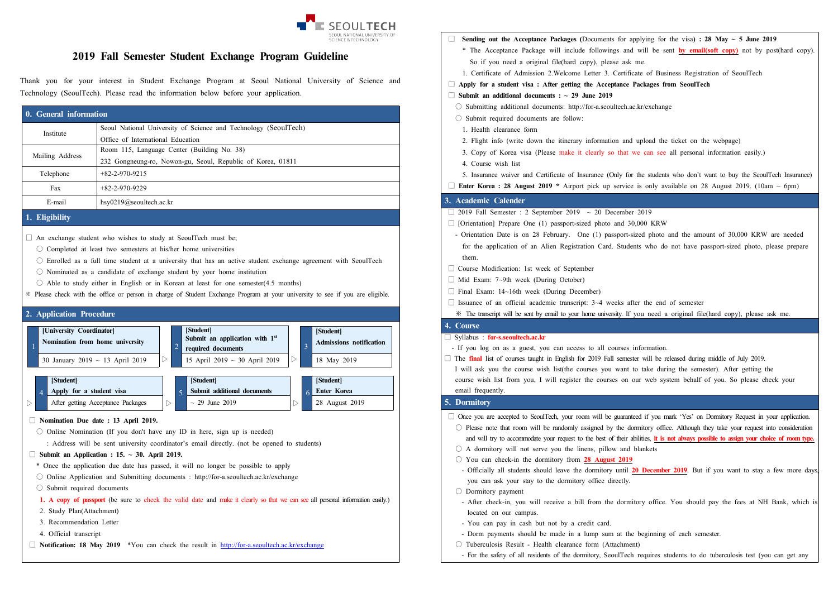

# **2019 Fall Semester Student Exchange Program Guideline**

Thank you for your interest in Student Exchange Program at Seoul National University of Science and Technology (SeoulTech). Please read the information below before your application.

| 0. General information |                                                                 |  |
|------------------------|-----------------------------------------------------------------|--|
| Institute              | Seoul National University of Science and Technology (SeoulTech) |  |
|                        | Office of International Education                               |  |
| Mailing Address        | Room 115, Language Center (Building No. 38)                     |  |
|                        | 232 Gongneung-ro, Nowon-gu, Seoul, Republic of Korea, 01811     |  |
| Telephone              | $+82-2-970-9215$                                                |  |
| Fax                    | $+82-2-970-9229$                                                |  |
| E-mail                 | $hsy0219$ @seoultech.ac.kr                                      |  |

# **1. Eligibility**

- $\Box$  An exchange student who wishes to study at SeoulTech must be;
	- $\bigcirc$  Completed at least two semesters at his/her home universities
	- Enrolled as a full time student at a university that has an active student exchange agreement with SeoulTech
	- Nominated as a candidate of exchange student by your home institution
- $\circ$  Able to study either in English or in Korean at least for one semester(4.5 months)
- ※ Please check with the office or person in charge of Student Exchange Program at your university to see if you are eligible.

#### **2. Application Procedure**



#### **□ Nomination Due date : 13 April 2019.**

 $\circ$  Online Nomination (If you don't have any ID in here, sign up is needed)

: Address will be sent university coordinator's email directly. (not be opened to students)

# **□ Submit an Application : 15. ~ 30. April 2019.**

- \* Once the application due date has passed, it will no longer be possible to apply
- Online Application and Submitting documents : http://for-a.seoultech.ac.kr/exchange
- Submit required documents
- **1. A copy of passport** (be sure to check the valid date and make it clearly so that we can see all personal information easily.)
- 2. Study Plan(Attachment)
- 3. Recommendation Letter
- 4. Official transcript
- **□ Notification: 18 May 2019** \*You can check the result in http://for-a.seoultech.ac.kr/exchange
- □ **Sending out the Acceptance Packages (**Documents for applying for the visa**) : 28 May ~ 5 June 2019**
	- \* The Acceptance Package will include followings and will be sent **by email(soft copy)** not by post(hard copy). So if you need a original file(hard copy), please ask me.
	- 1. Certificate of Admission 2.Welcome Letter 3. Certificate of Business Registration of SeoulTech
- **□ Apply for a student visa : After getting the Acceptance Packages from SeoulTech**
- **□ Submit an additional documents : ~ 29 June 2019**
	- Submitting additional documents: http://for-a.seoultech.ac.kr/exchange
	- Submit required documents are follow:
		- 1. Health clearance form
		- 2. Flight info (write down the itinerary information and upload the ticket on the webpage)
		- 3. Copy of Korea visa (Please make it clearly so that we can see all personal information easily.)
		- 4. Course wish list
	- 5. Insurance waiver and Certificate of Insurance (Only for the students who don't want to buy the SeoulTech Insurance)
- $\Box$  **<b>Enter Korea : 28 August 2019** \* Airport pick up service is only available on 28 August 2019. (10am  $\sim$  6pm)

# **3. Academic Calender**

- $\Box$  2019 Fall Semester : 2 September 2019 ~ 20 December 2019
- $\Box$  [Orientation] Prepare One (1) passport-sized photo and 30,000 KRW
- Orientation Date is on 28 February. One (1) passport-sized photo and the amount of 30,000 KRW are needed for the application of an Alien Registration Card. Students who do not have passport-sized photo, please prepare them.
- □ Course Modification: 1st week of September
- □ Mid Exam: 7~9th week (During October)
- □ Final Exam: 14~16th week (During December)
- $\square$  Issuance of an official academic transcript: 3~4 weeks after the end of semester
- ※ The transcript will be sent by email to your home university. If you need a original file(hard copy), please ask me.

# **4. Course**

## □ Syllabus : **for-s.seoultech.ac.kr**

- If you log on as a guest, you can access to all courses information.
- □ The **final** list of courses taught in English for 2019 Fall semester will be released during middle of July 2019. I will ask you the course wish list(the courses you want to take during the semester). After getting the course wish list from you, I will register the courses on our web system behalf of you. So please check your email frequently.

# **5. Dormitory**

- □ Once you are accepted to SeoulTech, your room will be guaranteed if you mark 'Yes' on Dormitory Request in your application.
- O Please note that room will be randomly assigned by the dormitory office. Although they take your request into consideration<br>and will try to accommodate your request to the best of their abilities, it is not always possib
- $\bigcirc$  A dormitory will not serve you the linens, pillow and blankets
- You can check-in the dormitory from **28 August 2019**
- Officially all students should leave the dormitory until **20 December 2019**. But if you want to stay a few more days, you can ask your stay to the dormitory office directly.
- Dormitory payment
- After check-in, you will receive a bill from the dormitory office. You should pay the fees at NH Bank, which is located on our campus.
- You can pay in cash but not by a credit card.
- Dorm payments should be made in a lump sum at the beginning of each semester.
- Tuberculosis Result Health clearance form (Attachment)
- For the safety of all residents of the dormitory, SeoulTech requires students to do tuberculosis test (you can get any